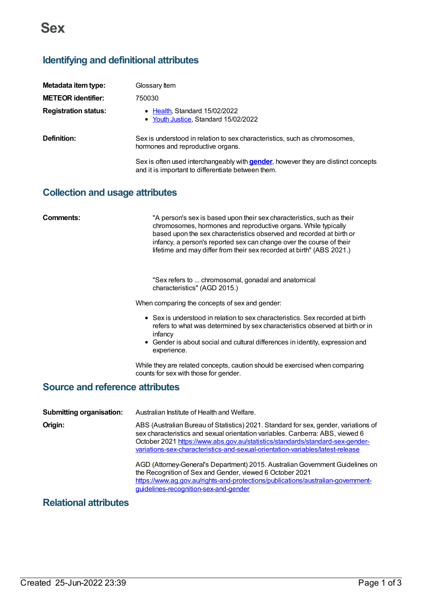# **Identifying and definitional attributes**

| Metadata item type:         | Glossary Item                                                                                                                                   |
|-----------------------------|-------------------------------------------------------------------------------------------------------------------------------------------------|
| <b>METEOR identifier:</b>   | 750030                                                                                                                                          |
| <b>Registration status:</b> | • Health, Standard 15/02/2022<br>• Youth Justice, Standard 15/02/2022                                                                           |
| Definition:                 | Sex is understood in relation to sex characteristics, such as chromosomes,<br>hormones and reproductive organs.                                 |
|                             | Sex is often used interchangeably with <b>gender</b> , however they are distinct concepts<br>and it is important to differentiate between them. |

# **Collection and usage attributes**

| Comments:                              | "A person's sex is based upon their sex characteristics, such as their<br>chromosomes, hormones and reproductive organs. While typically<br>based upon the sex characteristics observed and recorded at birth or<br>infancy, a person's reported sex can change over the course of their<br>lifetime and may differ from their sex recorded at birth" (ABS 2021.) |
|----------------------------------------|-------------------------------------------------------------------------------------------------------------------------------------------------------------------------------------------------------------------------------------------------------------------------------------------------------------------------------------------------------------------|
|                                        | "Sex refers to  chromosomal, gonadal and anatomical<br>characteristics" (AGD 2015.)                                                                                                                                                                                                                                                                               |
|                                        | When comparing the concepts of sex and gender:                                                                                                                                                                                                                                                                                                                    |
|                                        | • Sex is understood in relation to sex characteristics. Sex recorded at birth<br>refers to what was determined by sex characteristics observed at birth or in<br>infancy<br>• Gender is about social and cultural differences in identity, expression and<br>experience.                                                                                          |
|                                        | While they are related concepts, caution should be exercised when comparing<br>counts for sex with those for gender.                                                                                                                                                                                                                                              |
| <b>Source and reference attributes</b> |                                                                                                                                                                                                                                                                                                                                                                   |
| <b>Submitting organisation:</b>        | Australian Institute of Health and Welfare.                                                                                                                                                                                                                                                                                                                       |
| Origin:                                | ABS (Australian Bureau of Statistics) 2021. Standard for sex, gender, variations of<br>sex characteristics and sexual orientation variables. Canberra: ABS, viewed 6<br>October 2021 https://www.abs.gov.au/statistics/standards/standard-sex-gender-<br>variations-sex-characteristics-and-sexual-orientation-variables/latest-release                           |

AGD (Attorney-General's Department) 2015. AustralianGovernment Guidelines on the Recognition of Sex and Gender, viewed 6 October 2021 [https://www.ag.gov.au/rights-and-protections/publications/australian-government](https://www.ag.gov.au/rights-and-protections/publications/australian-government-guidelines-recognition-sex-and-gender)guidelines-recognition-sex-and-gender

# **Relational attributes**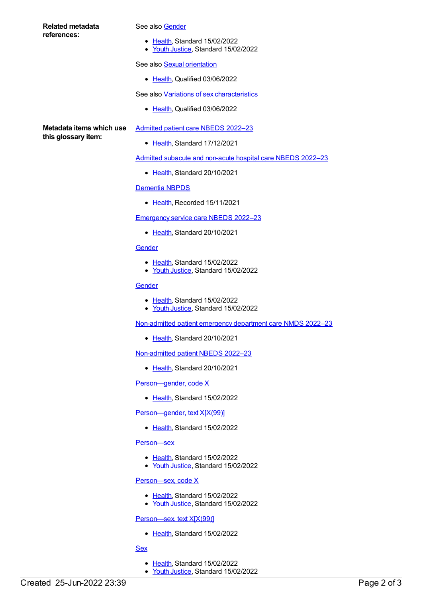### **Related metadata references:**

#### See also [Gender](https://meteor.aihw.gov.au/content/750032)

- [Health](https://meteor.aihw.gov.au/RegistrationAuthority/12), Standard 15/02/2022
- Youth [Justice](https://meteor.aihw.gov.au/RegistrationAuthority/4), Standard 15/02/2022

### See also **Sexual [orientation](https://meteor.aihw.gov.au/content/755634)**

• [Health](https://meteor.aihw.gov.au/RegistrationAuthority/12), Qualified 03/06/2022

See also Variations of sex [characteristics](https://meteor.aihw.gov.au/content/757670)

[Health](https://meteor.aihw.gov.au/RegistrationAuthority/12), Qualified 03/06/2022

**Metadata items which use this glossary item:**

- [Admitted](https://meteor.aihw.gov.au/content/742171) patient care NBEDS 2022–23
	- [Health](https://meteor.aihw.gov.au/RegistrationAuthority/12), Standard 17/12/2021

Admitted subacute and [non-acute](https://meteor.aihw.gov.au/content/742177) hospital care NBEDS 2022–23

• [Health](https://meteor.aihw.gov.au/RegistrationAuthority/12), Standard 20/10/2021

### [Dementia](https://meteor.aihw.gov.au/content/737872) NBPDS

• [Health](https://meteor.aihw.gov.au/RegistrationAuthority/12), Recorded 15/11/2021

[Emergency](https://meteor.aihw.gov.au/content/742180) service care NBEDS 2022–23

• [Health](https://meteor.aihw.gov.au/RegistrationAuthority/12), Standard 20/10/2021

## **[Gender](https://meteor.aihw.gov.au/content/750032)**

- [Health](https://meteor.aihw.gov.au/RegistrationAuthority/12), Standard 15/02/2022
- Youth [Justice](https://meteor.aihw.gov.au/RegistrationAuthority/4), Standard 15/02/2022

## **[Gender](https://meteor.aihw.gov.au/content/750032)**

- [Health](https://meteor.aihw.gov.au/RegistrationAuthority/12), Standard 15/02/2022
- Youth [Justice](https://meteor.aihw.gov.au/RegistrationAuthority/4), Standard 15/02/2022

[Non-admitted](https://meteor.aihw.gov.au/content/742184) patient emergency department care NMDS 2022–23

• [Health](https://meteor.aihw.gov.au/RegistrationAuthority/12), Standard 20/10/2021

[Non-admitted](https://meteor.aihw.gov.au/content/742186) patient NBEDS 2022–23

• [Health](https://meteor.aihw.gov.au/RegistrationAuthority/12), Standard 20/10/2021

[Person—gender,](https://meteor.aihw.gov.au/content/741842) code X

• [Health](https://meteor.aihw.gov.au/RegistrationAuthority/12), Standard 15/02/2022

Person-gender, text X[X(99)]

• [Health](https://meteor.aihw.gov.au/RegistrationAuthority/12), Standard 15/02/2022

#### [Person—sex](https://meteor.aihw.gov.au/content/741634)

- [Health](https://meteor.aihw.gov.au/RegistrationAuthority/12), Standard 15/02/2022
- Youth [Justice](https://meteor.aihw.gov.au/RegistrationAuthority/4), Standard 15/02/2022

#### [Person—sex,](https://meteor.aihw.gov.au/content/741686) code X

- [Health](https://meteor.aihw.gov.au/RegistrationAuthority/12), Standard 15/02/2022
- Youth [Justice](https://meteor.aihw.gov.au/RegistrationAuthority/4), Standard 15/02/2022

### [Person—sex,](https://meteor.aihw.gov.au/content/741731) text X[X(99)]

- [Health](https://meteor.aihw.gov.au/RegistrationAuthority/12), Standard 15/02/2022
- **[Sex](https://meteor.aihw.gov.au/content/741630)** 
	- [Health](https://meteor.aihw.gov.au/RegistrationAuthority/12), Standard 15/02/2022
	- Youth [Justice](https://meteor.aihw.gov.au/RegistrationAuthority/4), Standard 15/02/2022